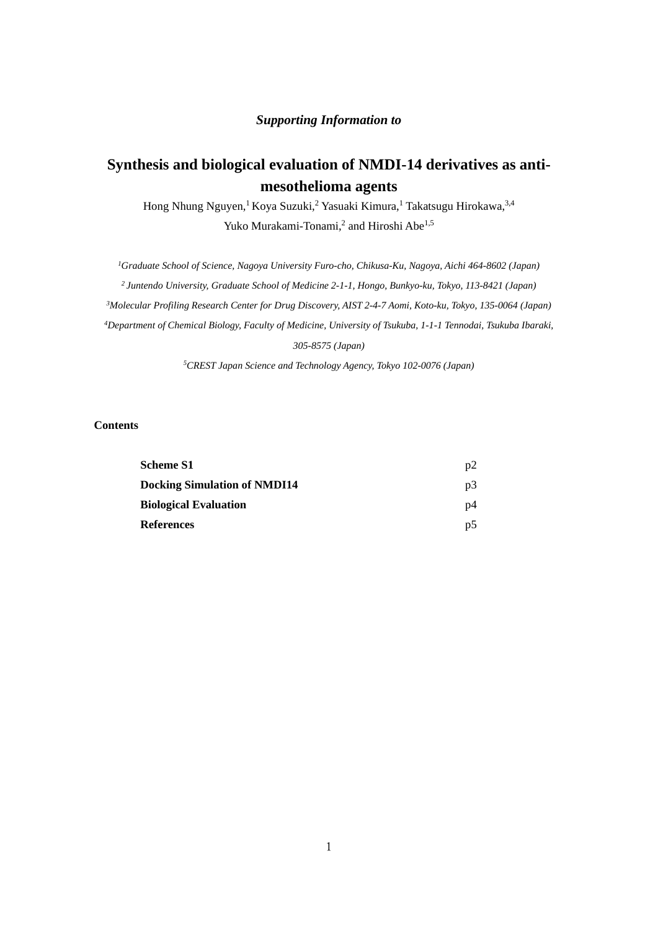# *Supporting Information to*

# **Synthesis and biological evaluation of NMDI-14 derivatives as antimesothelioma agents**

Hong Nhung Nguyen,<sup>1</sup> Koya Suzuki,<sup>2</sup> Yasuaki Kimura,<sup>1</sup> Takatsugu Hirokawa,<sup>3,4</sup> Yuko Murakami-Tonami,<sup>2</sup> and Hiroshi Abe<sup>1,5</sup>

*1 Graduate School of Science, Nagoya University Furo-cho, Chikusa-Ku, Nagoya, Aichi 464-8602 (Japan) 2 Juntendo University, Graduate School of Medicine 2-1-1, Hongo, Bunkyo-ku, Tokyo, 113-8421 (Japan) 3Molecular Profiling Research Center for Drug Discovery, AIST 2-4-7 Aomi, Koto-ku, Tokyo, 135-0064 (Japan) 4Department of Chemical Biology, Faculty of Medicine, University of Tsukuba, 1-1-1 Tennodai, Tsukuba Ibaraki, 305-8575 (Japan)* 

*5CREST Japan Science and Technology Agency, Tokyo 102-0076 (Japan)* 

#### **Contents**

| <b>Scheme S1</b>                    | p2 |
|-------------------------------------|----|
| <b>Docking Simulation of NMDI14</b> | p3 |
| <b>Biological Evaluation</b>        | p4 |
| <b>References</b>                   | p5 |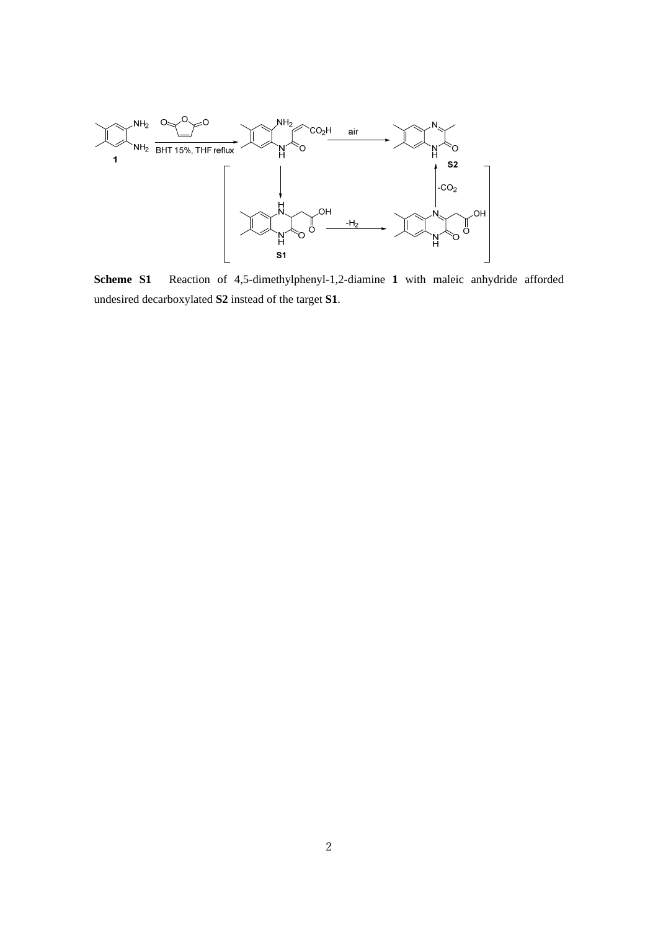

**Scheme S1** Reaction of 4,5-dimethylphenyl-1,2-diamine **1** with maleic anhydride afforded undesired decarboxylated **S2** instead of the target **S1**.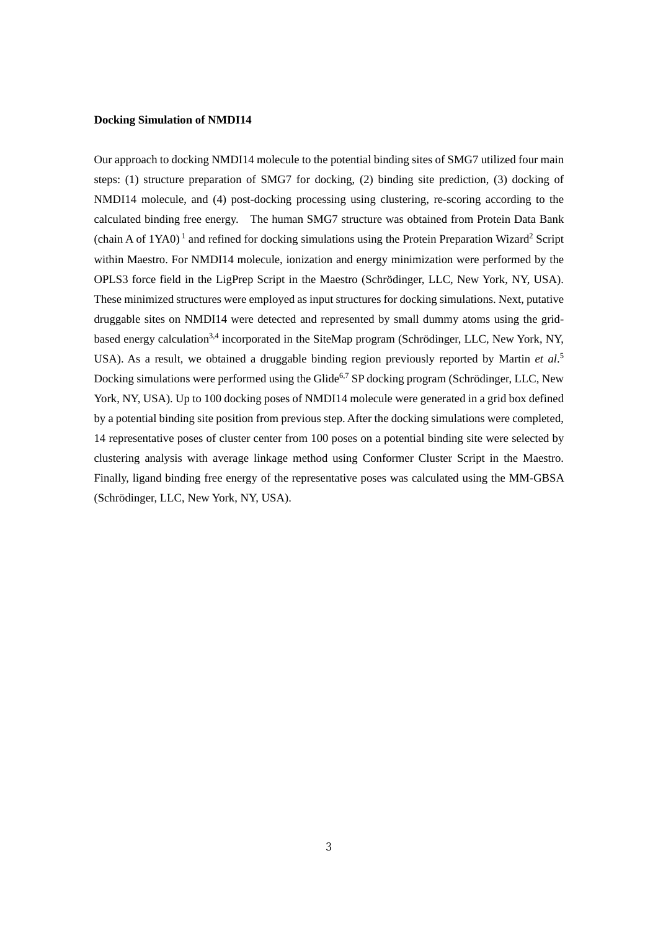# **Docking Simulation of NMDI14**

Our approach to docking NMDI14 molecule to the potential binding sites of SMG7 utilized four main steps: (1) structure preparation of SMG7 for docking, (2) binding site prediction, (3) docking of NMDI14 molecule, and (4) post-docking processing using clustering, re-scoring according to the calculated binding free energy. The human SMG7 structure was obtained from Protein Data Bank (chain A of  $1YAO$ )<sup>1</sup> and refined for docking simulations using the Protein Preparation Wizard<sup>2</sup> Script within Maestro. For NMDI14 molecule, ionization and energy minimization were performed by the OPLS3 force field in the LigPrep Script in the Maestro (Schrödinger, LLC, New York, NY, USA). These minimized structures were employed as input structures for docking simulations. Next, putative druggable sites on NMDI14 were detected and represented by small dummy atoms using the gridbased energy calculation<sup>3,4</sup> incorporated in the SiteMap program (Schrödinger, LLC, New York, NY, USA). As a result, we obtained a druggable binding region previously reported by Martin *et al*. 5 Docking simulations were performed using the Glide<sup>6,7</sup> SP docking program (Schrödinger, LLC, New York, NY, USA). Up to 100 docking poses of NMDI14 molecule were generated in a grid box defined by a potential binding site position from previous step. After the docking simulations were completed, 14 representative poses of cluster center from 100 poses on a potential binding site were selected by clustering analysis with average linkage method using Conformer Cluster Script in the Maestro. Finally, ligand binding free energy of the representative poses was calculated using the MM-GBSA (Schrödinger, LLC, New York, NY, USA).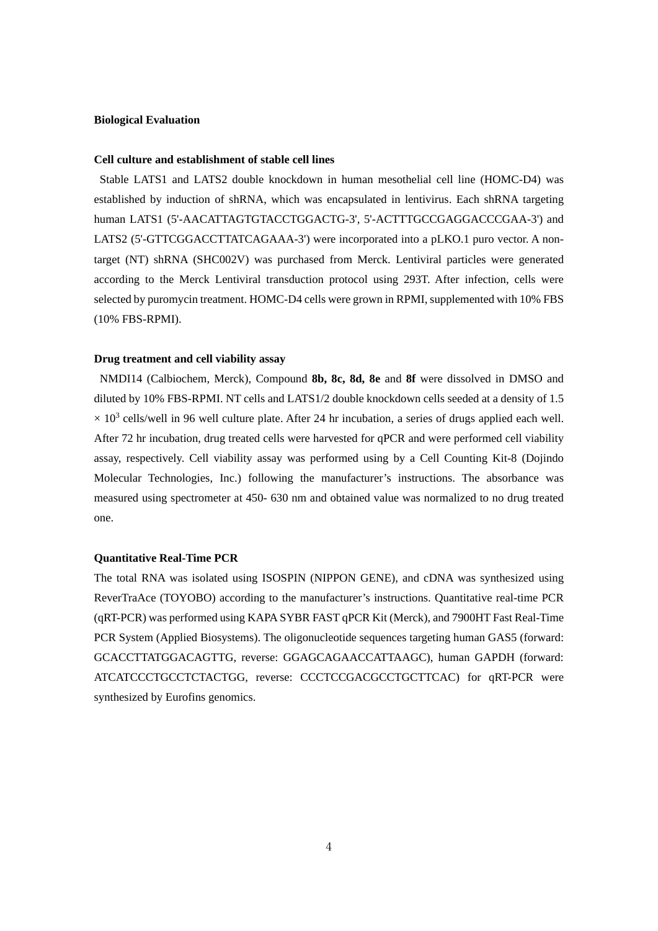#### **Biological Evaluation**

#### **Cell culture and establishment of stable cell lines**

Stable LATS1 and LATS2 double knockdown in human mesothelial cell line (HOMC-D4) was established by induction of shRNA, which was encapsulated in lentivirus. Each shRNA targeting human LATS1 (5'-AACATTAGTGTACCTGGACTG-3', 5'-ACTTTGCCGAGGACCCGAA-3') and LATS2 (5'-GTTCGGACCTTATCAGAAA-3') were incorporated into a pLKO.1 puro vector. A nontarget (NT) shRNA (SHC002V) was purchased from Merck. Lentiviral particles were generated according to the Merck Lentiviral transduction protocol using 293T. After infection, cells were selected by puromycin treatment. HOMC-D4 cells were grown in RPMI, supplemented with 10% FBS (10% FBS-RPMI).

## **Drug treatment and cell viability assay**

NMDI14 (Calbiochem, Merck), Compound **8b, 8c, 8d, 8e** and **8f** were dissolved in DMSO and diluted by 10% FBS-RPMI. NT cells and LATS1/2 double knockdown cells seeded at a density of 1.5  $\times$  10<sup>3</sup> cells/well in 96 well culture plate. After 24 hr incubation, a series of drugs applied each well. After 72 hr incubation, drug treated cells were harvested for qPCR and were performed cell viability assay, respectively. Cell viability assay was performed using by a Cell Counting Kit-8 (Dojindo Molecular Technologies, Inc.) following the manufacturer's instructions. The absorbance was measured using spectrometer at 450- 630 nm and obtained value was normalized to no drug treated one.

#### **Quantitative Real-Time PCR**

The total RNA was isolated using ISOSPIN (NIPPON GENE), and cDNA was synthesized using ReverTraAce (TOYOBO) according to the manufacturer's instructions. Quantitative real-time PCR (qRT-PCR) was performed using KAPA SYBR FAST qPCR Kit (Merck), and 7900HT Fast Real-Time PCR System (Applied Biosystems). The oligonucleotide sequences targeting human GAS5 (forward: GCACCTTATGGACAGTTG, reverse: GGAGCAGAACCATTAAGC), human GAPDH (forward: ATCATCCCTGCCTCTACTGG, reverse: CCCTCCGACGCCTGCTTCAC) for qRT-PCR were synthesized by Eurofins genomics.